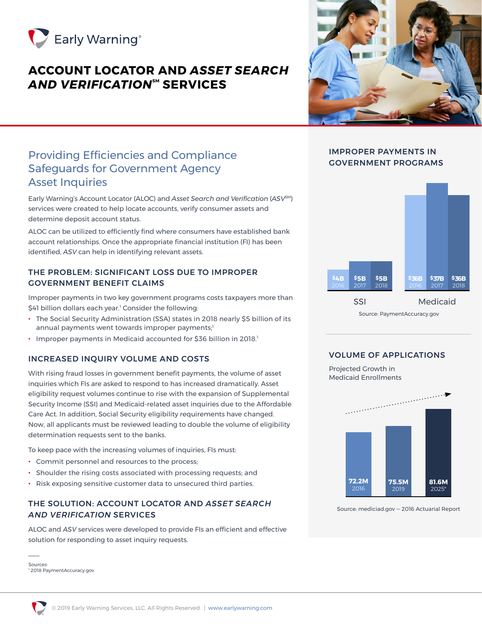

# **ACCOUNT LOCATOR AND** *ASSET SEARCH*  **AND VERIFICATION<sup>™</sup> SERVICES**



## Providing Efficiencies and Compliance Safeguards for Government Agency Asset Inquiries

Early Warning's Account Locator (ALOC) and *Asset Search and Verification* (*ASV*SM) services were created to help locate accounts, verify consumer assets and determine deposit account status.

ALOC can be utilized to efficiently find where consumers have established bank account relationships. Once the appropriate financial institution (FI) has been identified, *ASV* can help in identifying relevant assets.

## THE PROBLEM: SIGNIFICANT LOSS DUE TO IMPROPER GOVERNMENT BENEFIT CLAIMS

Improper payments in two key government programs costs taxpayers more than \$41 billion dollars each year.1 Consider the following:

- The Social Security Administration (SSA) states in 2018 nearly \$5 billion of its annual payments went towards improper payments;<sup>1</sup>
- Improper payments in Medicaid accounted for \$36 billion in 2018.<sup>1</sup>

## INCREASED INQUIRY VOLUME AND COSTS

With rising fraud losses in government benefit payments, the volume of asset inquiries which FIs are asked to respond to has increased dramatically. Asset eligibility request volumes continue to rise with the expansion of Supplemental Security Income (SSI) and Medicaid-related asset inquiries due to the Affordable Care Act. In addition, Social Security eligibility requirements have changed. Now, all applicants must be reviewed leading to double the volume of eligibility determination requests sent to the banks.

To keep pace with the increasing volumes of inquiries, FIs must:

- Commit personnel and resources to the process;
- Shoulder the rising costs associated with processing requests; and
- Risk exposing sensitive customer data to unsecured third parties.

### THE SOLUTION: ACCOUNT LOCATOR AND *ASSET SEARCH AND VERIFICATION* SERVICES

ALOC and *ASV* services were developed to provide FIs an efficient and effective solution for responding to asset inquiry requests.

Sources: 1 2018 PaymentAccuracy.gov

## IMPROPER PAYMENTS IN GOVERNMENT PROGRAMS



SSI Medicaid

Source: PaymentAccuracy.gov

## VOLUME OF APPLICATIONS

Projected Growth in Medicaid Enrollments



Source: mediciad.gov — 2016 Actuarial Report